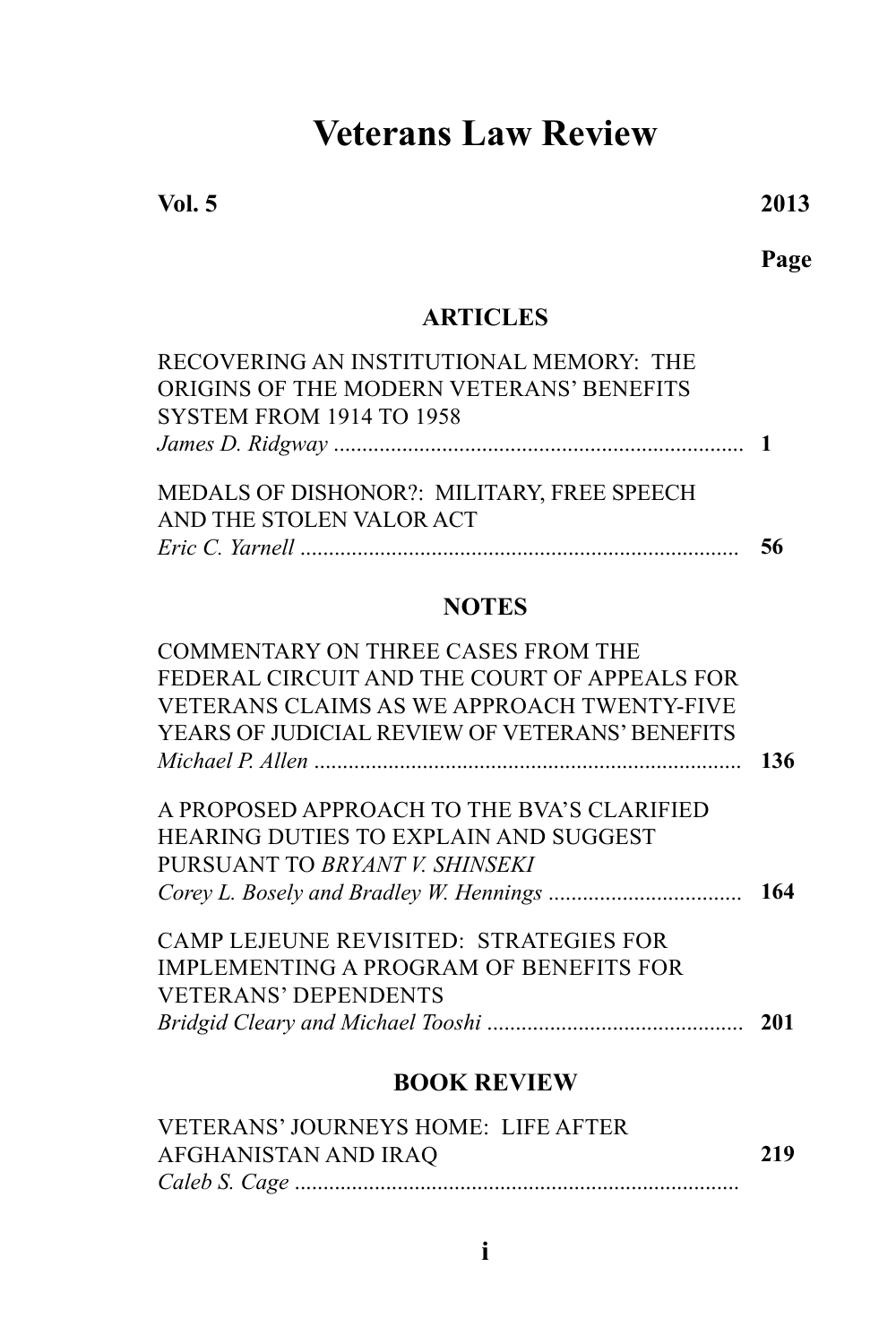# **Veterans Law Review**

**Vol. 5 2013**

**Page**

## **ARTICLES**

| RECOVERING AN INSTITUTIONAL MEMORY: THE    |    |
|--------------------------------------------|----|
| ORIGINS OF THE MODERN VETERANS' BENEFITS   |    |
| <b>SYSTEM FROM 1914 TO 1958</b>            |    |
|                                            |    |
| MEDALS OF DISHONOR?: MILITARY, FREE SPEECH |    |
| AND THE STOLEN VALOR ACT                   |    |
|                                            | 56 |
|                                            |    |

## **NOTES**

| COMMENTARY ON THREE CASES FROM THE             |     |
|------------------------------------------------|-----|
| FEDERAL CIRCUIT AND THE COURT OF APPEALS FOR   |     |
| VETERANS CLAIMS AS WE APPROACH TWENTY-FIVE     |     |
| YEARS OF JUDICIAL REVIEW OF VETERANS' BENEFITS |     |
|                                                | 136 |
|                                                |     |
| A PROPOSED APPROACH TO THE BVA'S CLARIFIED     |     |
| <b>HEARING DUTIES TO EXPLAIN AND SUGGEST</b>   |     |
| PURSUANT TO BRYANT V. SHINSEKI                 |     |
|                                                | 164 |
| <b>CAMP LEJEUNE REVISITED: STRATEGIES FOR</b>  |     |
| IMPLEMENTING A PROGRAM OF BENEFITS FOR         |     |
| <b>VETERANS' DEPENDENTS</b>                    |     |
|                                                | 201 |
| <b>BOOK REVIEW</b>                             |     |

| <b>VETERANS' JOURNEYS HOME: LIFE AFTER</b> |     |
|--------------------------------------------|-----|
| AFGHANISTAN AND IRAQ                       | 219 |
|                                            |     |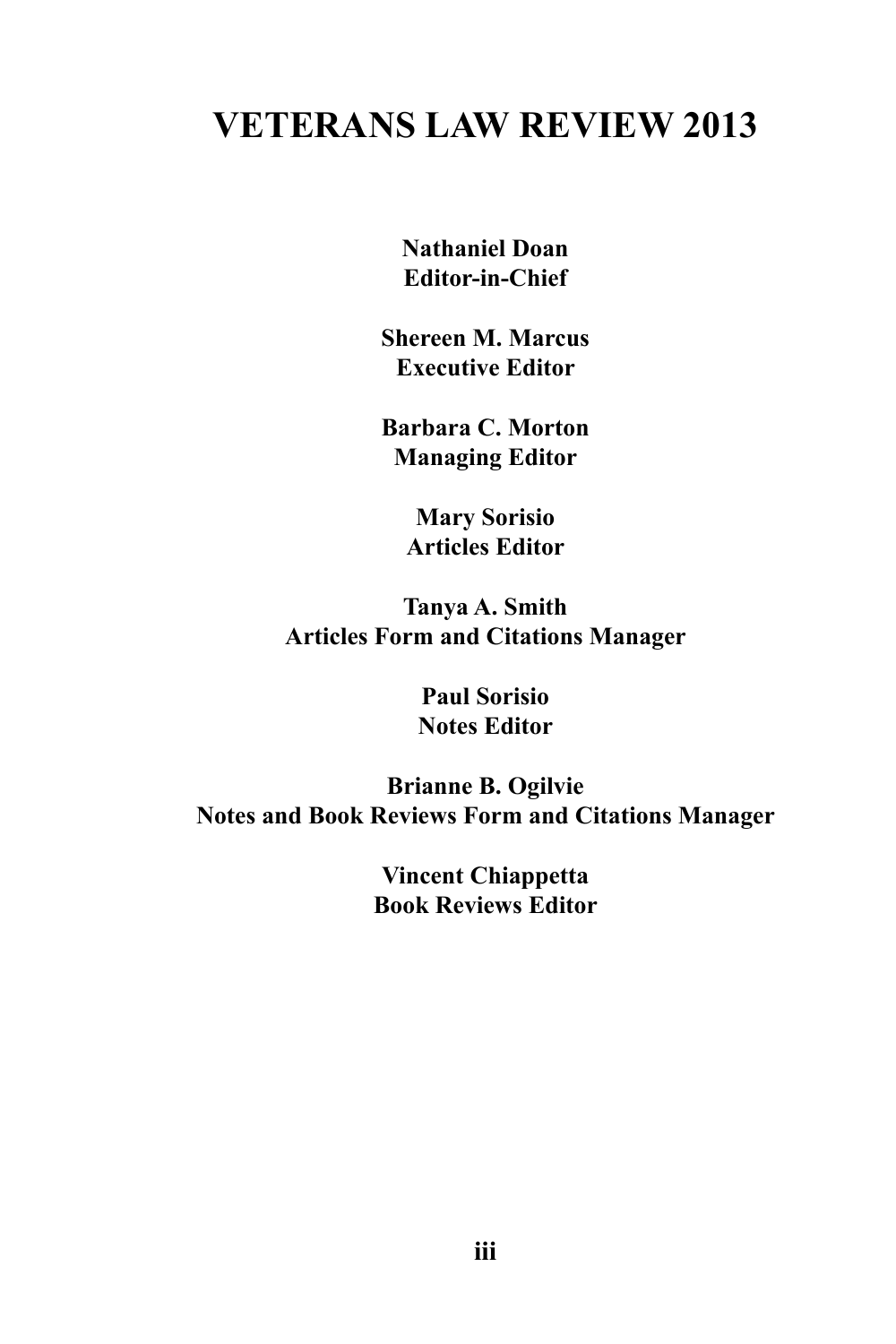## **VETERANS LAW REVIEW 2013**

**Nathaniel Doan Editor-in-Chief**

**Shereen M. Marcus Executive Editor**

**Barbara C. Morton Managing Editor**

> **Mary Sorisio Articles Editor**

**Tanya A. Smith Articles Form and Citations Manager**

> **Paul Sorisio Notes Editor**

**Brianne B. Ogilvie Notes and Book Reviews Form and Citations Manager**

> **Vincent Chiappetta Book Reviews Editor**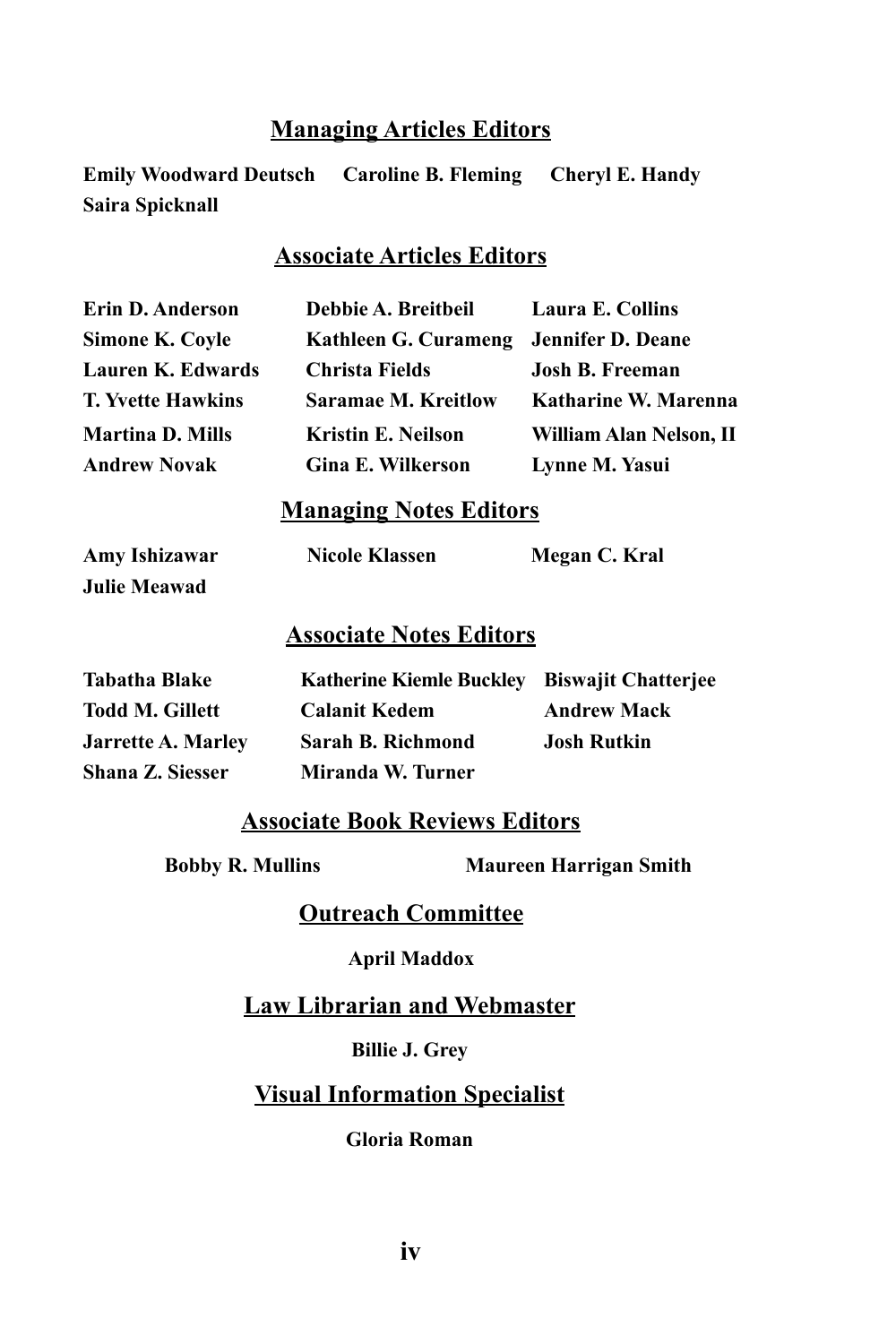### **Managing Articles Editors**

**Emily Woodward Deutsch Caroline B. Fleming Cheryl E. Handy Saira Spicknall**

## **Associate Articles Editors**

| Erin D. Anderson         | Debbie A. Breitbeil                    | Laura E. Collins        |
|--------------------------|----------------------------------------|-------------------------|
| Simone K. Coyle          | Kathleen G. Curameng Jennifer D. Deane |                         |
| Lauren K. Edwards        | Christa Fields                         | <b>Josh B. Freeman</b>  |
| <b>T. Yvette Hawkins</b> | <b>Saramae M. Kreitlow</b>             | Katharine W. Marenna    |
| Martina D. Mills         | <b>Kristin E. Neilson</b>              | William Alan Nelson, II |
| Andrew Novak             | <b>Gina E. Wilkerson</b>               | Lynne M. Yasui          |

#### **Managing Notes Editors**

**Julie Meawad**

## **Amy Ishizawar Nicole Klassen Megan C. Kral**

#### **Associate Notes Editors**

| Tabatha Blake      | Katherine Kiemle Buckley Biswajit Chatterjee |                    |
|--------------------|----------------------------------------------|--------------------|
| Todd M. Gillett    | <b>Calanit Kedem</b>                         | <b>Andrew Mack</b> |
| Jarrette A. Marley | Sarah B. Richmond                            | <b>Josh Rutkin</b> |
| Shana Z. Siesser   | Miranda W. Turner                            |                    |

### **Associate Book Reviews Editors**

**Bobby R. Mullins Maureen Harrigan Smith**

**Outreach Committee**

#### **April Maddox**

**Law Librarian and Webmaster**

**Billie J. Grey**

### **Visual Information Specialist**

**Gloria Roman**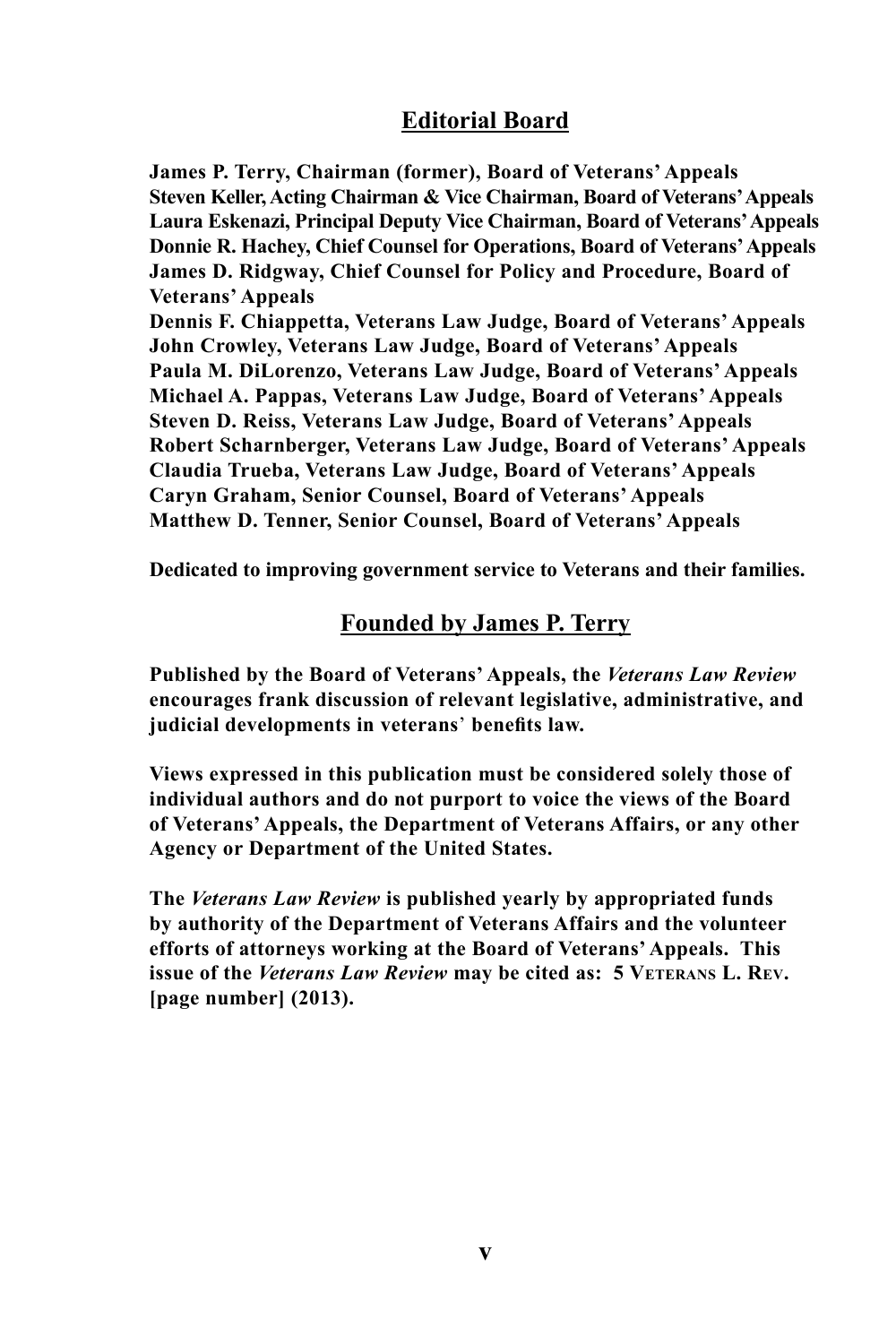## **Editorial Board**

**James P. Terry, Chairman (former), Board of Veterans' Appeals Steven Keller, Acting Chairman & Vice Chairman, Board of Veterans' Appeals Laura Eskenazi, Principal Deputy Vice Chairman, Board of Veterans' Appeals Donnie R. Hachey, Chief Counsel for Operations, Board of Veterans' Appeals James D. Ridgway, Chief Counsel for Policy and Procedure, Board of Veterans' Appeals**

**Dennis F. Chiappetta, Veterans Law Judge, Board of Veterans' Appeals John Crowley, Veterans Law Judge, Board of Veterans' Appeals Paula M. DiLorenzo, Veterans Law Judge, Board of Veterans' Appeals Michael A. Pappas, Veterans Law Judge, Board of Veterans' Appeals Steven D. Reiss, Veterans Law Judge, Board of Veterans' Appeals Robert Scharnberger, Veterans Law Judge, Board of Veterans' Appeals Claudia Trueba, Veterans Law Judge, Board of Veterans' Appeals Caryn Graham, Senior Counsel, Board of Veterans' Appeals Matthew D. Tenner, Senior Counsel, Board of Veterans' Appeals**

**Dedicated to improving government service to Veterans and their families.**

#### **Founded by James P. Terry**

**Published by the Board of Veterans' Appeals, the** *Veterans Law Review* **encourages frank discussion of relevant legislative, administrative, and judicial developments in veterans**' **benefits law.**

**Views expressed in this publication must be considered solely those of individual authors and do not purport to voice the views of the Board of Veterans' Appeals, the Department of Veterans Affairs, or any other Agency or Department of the United States.**

**The** *Veterans Law Review* **is published yearly by appropriated funds by authority of the Department of Veterans Affairs and the volunteer efforts of attorneys working at the Board of Veterans' Appeals. This issue of the Veterans Law Review may be cited as: 5 VETERANS L. REV. [page number] (2013).**